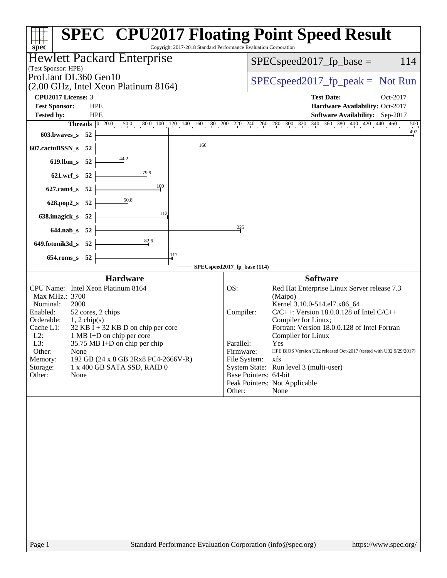| spec                                                                                                                                                                                                                                                                                                                                                                                                                              | <b>SPEC<sup>®</sup> CPU2017 Floating Point Speed Result</b><br>Copyright 2017-2018 Standard Performance Evaluation Corporation                                                                                                                                                                                                                                                                                                                                                                                                  |  |  |  |  |  |
|-----------------------------------------------------------------------------------------------------------------------------------------------------------------------------------------------------------------------------------------------------------------------------------------------------------------------------------------------------------------------------------------------------------------------------------|---------------------------------------------------------------------------------------------------------------------------------------------------------------------------------------------------------------------------------------------------------------------------------------------------------------------------------------------------------------------------------------------------------------------------------------------------------------------------------------------------------------------------------|--|--|--|--|--|
| Hewlett Packard Enterprise                                                                                                                                                                                                                                                                                                                                                                                                        | $SPEC speed2017_fp\_base =$<br>114                                                                                                                                                                                                                                                                                                                                                                                                                                                                                              |  |  |  |  |  |
| (Test Sponsor: HPE)<br>ProLiant DL360 Gen10<br>(2.00 GHz, Intel Xeon Platinum 8164)                                                                                                                                                                                                                                                                                                                                               | $SPEC speed2017rfp peak = Not Run$                                                                                                                                                                                                                                                                                                                                                                                                                                                                                              |  |  |  |  |  |
| CPU2017 License: 3<br><b>Test Sponsor:</b><br><b>HPE</b><br><b>Tested by:</b><br><b>HPE</b><br>603.bwaves_s 52<br>166<br>607.cactuBSSN_s<br>- 52<br>44.2<br>$619$ .lbm_s<br>- 52<br>79.9<br>621.wrf_s 52<br>100<br>$627$ .cam $4$ <sub>_S</sub><br>- 52<br>$\frac{50.8}{50}$                                                                                                                                                      | <b>Test Date:</b><br>Oct-2017<br>Hardware Availability: Oct-2017<br>Software Availability: Sep-2017<br>Threads 0 20.0 50.0 80.0 100 120 140 160 180 200 220 240 260 280 300 320 340 360 380 400 420 440 460<br>500<br>$\frac{492}{9}$                                                                                                                                                                                                                                                                                           |  |  |  |  |  |
| 628.pop2_s 52<br>112<br>638.imagick_s<br>- 52<br>644.nab_s 52<br>$\frac{82.6}{5}$<br>649.fotonik3d_s 52<br>117<br>$654$ .roms_s<br>52                                                                                                                                                                                                                                                                                             | 225<br>SPECspeed2017_fp_base (114)                                                                                                                                                                                                                                                                                                                                                                                                                                                                                              |  |  |  |  |  |
| <b>Hardware</b><br>CPU Name: Intel Xeon Platinum 8164<br>Max MHz.: 3700<br>2000<br>Nominal:<br>Enabled:<br>52 cores, 2 chips<br>Orderable:<br>$1, 2$ chip(s)<br>Cache L1:<br>$32$ KB I + 32 KB D on chip per core<br>$L2$ :<br>1 MB I+D on chip per core<br>L3:<br>35.75 MB I+D on chip per chip<br>Other:<br>None<br>Memory:<br>192 GB (24 x 8 GB 2Rx8 PC4-2666V-R)<br>Storage:<br>1 x 400 GB SATA SSD, RAID 0<br>Other:<br>None | <b>Software</b><br>OS:<br>Red Hat Enterprise Linux Server release 7.3<br>(Maipo)<br>Kernel 3.10.0-514.el7.x86 64<br>$C/C++$ : Version 18.0.0.128 of Intel $C/C++$<br>Compiler:<br>Compiler for Linux;<br>Fortran: Version 18.0.0.128 of Intel Fortran<br>Compiler for Linux<br>Parallel:<br>Yes<br>HPE BIOS Version U32 released Oct-2017 (tested with U32 9/29/2017)<br>Firmware:<br>File System:<br>xfs<br>System State: Run level 3 (multi-user)<br>Base Pointers: 64-bit<br>Peak Pointers: Not Applicable<br>Other:<br>None |  |  |  |  |  |
|                                                                                                                                                                                                                                                                                                                                                                                                                                   |                                                                                                                                                                                                                                                                                                                                                                                                                                                                                                                                 |  |  |  |  |  |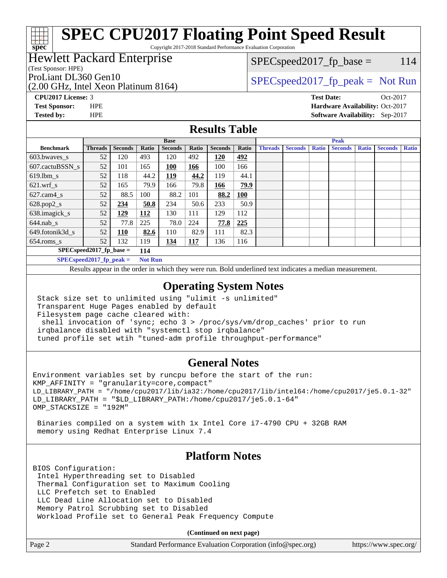# **[SPEC CPU2017 Floating Point Speed Result](http://www.spec.org/auto/cpu2017/Docs/result-fields.html#SPECCPU2017FloatingPointSpeedResult)**

Copyright 2017-2018 Standard Performance Evaluation Corporation

## Hewlett Packard Enterprise

(Test Sponsor: HPE)

**[spec](http://www.spec.org/)**

(2.00 GHz, Intel Xeon Platinum 8164)

 $SPEC speed2017_fp\_base = 114$ 

ProLiant DL360 Gen10  $SPEC speed2017$  [p\_peak = Not Run

**[CPU2017 License:](http://www.spec.org/auto/cpu2017/Docs/result-fields.html#CPU2017License)** 3 **[Test Date:](http://www.spec.org/auto/cpu2017/Docs/result-fields.html#TestDate)** Oct-2017 **[Test Sponsor:](http://www.spec.org/auto/cpu2017/Docs/result-fields.html#TestSponsor)** HPE **[Hardware Availability:](http://www.spec.org/auto/cpu2017/Docs/result-fields.html#HardwareAvailability)** Oct-2017 **[Tested by:](http://www.spec.org/auto/cpu2017/Docs/result-fields.html#Testedby)** HPE **[Software Availability:](http://www.spec.org/auto/cpu2017/Docs/result-fields.html#SoftwareAvailability)** Sep-2017

# **[Results Table](http://www.spec.org/auto/cpu2017/Docs/result-fields.html#ResultsTable)**

|                                   | <b>Base</b>    |                |                |                |       | <b>Peak</b>    |            |                |                |              |                |              |                |              |
|-----------------------------------|----------------|----------------|----------------|----------------|-------|----------------|------------|----------------|----------------|--------------|----------------|--------------|----------------|--------------|
| <b>Benchmark</b>                  | <b>Threads</b> | <b>Seconds</b> | Ratio          | <b>Seconds</b> | Ratio | <b>Seconds</b> | Ratio      | <b>Threads</b> | <b>Seconds</b> | <b>Ratio</b> | <b>Seconds</b> | <b>Ratio</b> | <b>Seconds</b> | <b>Ratio</b> |
| 603.bwayes s                      | 52             | 120            | 493            | 120            | 492   | 120            | 492        |                |                |              |                |              |                |              |
| 607.cactuBSSN s                   | 52             | 101            | 165            | 100            | 166   | 100            | 166        |                |                |              |                |              |                |              |
| $619.1$ bm s                      | 52             | 118            | 44.2           | 119            | 44.2  | 119            | 44.1       |                |                |              |                |              |                |              |
| $621.wrf$ s                       | 52             | 165            | 79.9           | 166            | 79.8  | 166            | 79.9       |                |                |              |                |              |                |              |
| $627$ .cam $4 \text{ s}$          | 52             | 88.5           | 100            | 88.2           | 101   | 88.2           | <b>100</b> |                |                |              |                |              |                |              |
| $628.pop2_s$                      | 52             | 234            | 50.8           | 234            | 50.6  | 233            | 50.9       |                |                |              |                |              |                |              |
| 638.imagick_s                     | 52             | <u> 129</u>    | 112            | 130            | 111   | 129            | 112        |                |                |              |                |              |                |              |
| $644$ .nab s                      | 52             | 77.8           | 225            | 78.0           | 224   | 77.8           | 225        |                |                |              |                |              |                |              |
| 649.fotonik3d s                   | 52             | 110            | 82.6           | 110            | 82.9  | 111            | 82.3       |                |                |              |                |              |                |              |
| $654$ .roms s                     | 52             | 132            | 119            | 134            | 117   | 136            | 116        |                |                |              |                |              |                |              |
| $SPEC speed2017$ fp base =<br>114 |                |                |                |                |       |                |            |                |                |              |                |              |                |              |
| $SPECspeed2017_fp\_peak =$        |                |                | <b>Not Run</b> |                |       |                |            |                |                |              |                |              |                |              |

Results appear in the [order in which they were run.](http://www.spec.org/auto/cpu2017/Docs/result-fields.html#RunOrder) Bold underlined text [indicates a median measurement](http://www.spec.org/auto/cpu2017/Docs/result-fields.html#Median).

## **[Operating System Notes](http://www.spec.org/auto/cpu2017/Docs/result-fields.html#OperatingSystemNotes)**

 Stack size set to unlimited using "ulimit -s unlimited" Transparent Huge Pages enabled by default Filesystem page cache cleared with: shell invocation of 'sync; echo 3 > /proc/sys/vm/drop\_caches' prior to run irqbalance disabled with "systemctl stop irqbalance" tuned profile set wtih "tuned-adm profile throughput-performance"

#### **[General Notes](http://www.spec.org/auto/cpu2017/Docs/result-fields.html#GeneralNotes)**

Environment variables set by runcpu before the start of the run: KMP\_AFFINITY = "granularity=core,compact" LD\_LIBRARY\_PATH = "/home/cpu2017/lib/ia32:/home/cpu2017/lib/intel64:/home/cpu2017/je5.0.1-32" LD\_LIBRARY\_PATH = "\$LD\_LIBRARY\_PATH:/home/cpu2017/je5.0.1-64" OMP\_STACKSIZE = "192M"

 Binaries compiled on a system with 1x Intel Core i7-4790 CPU + 32GB RAM memory using Redhat Enterprise Linux 7.4

## **[Platform Notes](http://www.spec.org/auto/cpu2017/Docs/result-fields.html#PlatformNotes)**

BIOS Configuration: Intel Hyperthreading set to Disabled Thermal Configuration set to Maximum Cooling LLC Prefetch set to Enabled LLC Dead Line Allocation set to Disabled Memory Patrol Scrubbing set to Disabled Workload Profile set to General Peak Frequency Compute

**(Continued on next page)**

| Page 2 | Standard Performance Evaluation Corporation (info@spec.org) | https://www.spec.org/ |
|--------|-------------------------------------------------------------|-----------------------|
|--------|-------------------------------------------------------------|-----------------------|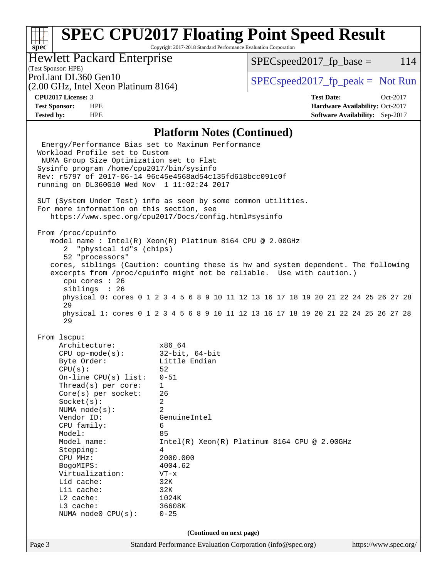# **[SPEC CPU2017 Floating Point Speed Result](http://www.spec.org/auto/cpu2017/Docs/result-fields.html#SPECCPU2017FloatingPointSpeedResult)**

Copyright 2017-2018 Standard Performance Evaluation Corporation

# Hewlett Packard Enterprise

 $SPEC speed2017<sub>fp</sub> base =  $114$$ 

## (Test Sponsor: HPE)

(2.00 GHz, Intel Xeon Platinum 8164)

ProLiant DL360 Gen10  $SPEC speed2017$  [p\_peak = Not Run

**[spec](http://www.spec.org/)**

**[CPU2017 License:](http://www.spec.org/auto/cpu2017/Docs/result-fields.html#CPU2017License)** 3 **[Test Date:](http://www.spec.org/auto/cpu2017/Docs/result-fields.html#TestDate)** Oct-2017 **[Test Sponsor:](http://www.spec.org/auto/cpu2017/Docs/result-fields.html#TestSponsor)** HPE **[Hardware Availability:](http://www.spec.org/auto/cpu2017/Docs/result-fields.html#HardwareAvailability)** Oct-2017 **[Tested by:](http://www.spec.org/auto/cpu2017/Docs/result-fields.html#Testedby)** HPE **[Software Availability:](http://www.spec.org/auto/cpu2017/Docs/result-fields.html#SoftwareAvailability)** Sep-2017

### **[Platform Notes \(Continued\)](http://www.spec.org/auto/cpu2017/Docs/result-fields.html#PlatformNotes)**

Page 3 Standard Performance Evaluation Corporation [\(info@spec.org\)](mailto:info@spec.org) <https://www.spec.org/> Energy/Performance Bias set to Maximum Performance Workload Profile set to Custom NUMA Group Size Optimization set to Flat Sysinfo program /home/cpu2017/bin/sysinfo Rev: r5797 of 2017-06-14 96c45e4568ad54c135fd618bcc091c0f running on DL360G10 Wed Nov 1 11:02:24 2017 SUT (System Under Test) info as seen by some common utilities. For more information on this section, see <https://www.spec.org/cpu2017/Docs/config.html#sysinfo> From /proc/cpuinfo model name : Intel(R) Xeon(R) Platinum 8164 CPU @ 2.00GHz 2 "physical id"s (chips) 52 "processors" cores, siblings (Caution: counting these is hw and system dependent. The following excerpts from /proc/cpuinfo might not be reliable. Use with caution.) cpu cores : 26 siblings : 26 physical 0: cores 0 1 2 3 4 5 6 8 9 10 11 12 13 16 17 18 19 20 21 22 24 25 26 27 28 29 physical 1: cores 0 1 2 3 4 5 6 8 9 10 11 12 13 16 17 18 19 20 21 22 24 25 26 27 28 29 From lscpu: Architecture: x86\_64 CPU op-mode(s): 32-bit, 64-bit Byte Order: Little Endian  $CPU(s):$  52 On-line CPU(s) list: 0-51 Thread(s) per core: 1 Core(s) per socket: 26 Socket(s): 2 NUMA node(s): 2 Vendor ID: GenuineIntel CPU family: 6 Model: 85<br>Model name: 1n Intel(R) Xeon(R) Platinum 8164 CPU @ 2.00GHz Stepping: 4 CPU MHz: 2000.000 BogoMIPS: 4004.62 Virtualization: VT-x L1d cache: 32K L1i cache: 32K L2 cache: 1024K L3 cache: 36608K NUMA node0 CPU(s): 0-25 **(Continued on next page)**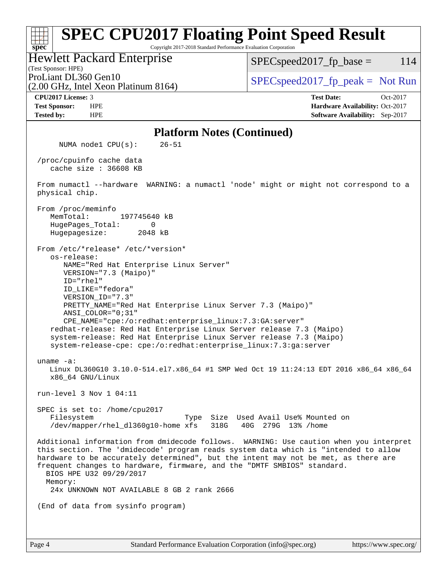#### **[spec](http://www.spec.org/) [SPEC CPU2017 Floating Point Speed Result](http://www.spec.org/auto/cpu2017/Docs/result-fields.html#SPECCPU2017FloatingPointSpeedResult)** Copyright 2017-2018 Standard Performance Evaluation Corporation (Test Sponsor: HPE) Hewlett Packard Enterprise (2.00 GHz, Intel Xeon Platinum 8164) ProLiant DL360 Gen10  $SPEC speed2017$  fp\_peak = Not Run  $SPEC speed2017<sub>fp</sub> base =  $114$$ **[CPU2017 License:](http://www.spec.org/auto/cpu2017/Docs/result-fields.html#CPU2017License)** 3 **[Test Date:](http://www.spec.org/auto/cpu2017/Docs/result-fields.html#TestDate)** Oct-2017 **[Test Sponsor:](http://www.spec.org/auto/cpu2017/Docs/result-fields.html#TestSponsor)** HPE **[Hardware Availability:](http://www.spec.org/auto/cpu2017/Docs/result-fields.html#HardwareAvailability)** Oct-2017 **[Tested by:](http://www.spec.org/auto/cpu2017/Docs/result-fields.html#Testedby)** HPE **[Software Availability:](http://www.spec.org/auto/cpu2017/Docs/result-fields.html#SoftwareAvailability)** Sep-2017 **[Platform Notes \(Continued\)](http://www.spec.org/auto/cpu2017/Docs/result-fields.html#PlatformNotes)** NUMA node1 CPU(s): 26-51 /proc/cpuinfo cache data cache size : 36608 KB From numactl --hardware WARNING: a numactl 'node' might or might not correspond to a physical chip. From /proc/meminfo MemTotal: 197745640 kB HugePages\_Total: 0 Hugepagesize: 2048 kB From /etc/\*release\* /etc/\*version\* os-release: NAME="Red Hat Enterprise Linux Server" VERSION="7.3 (Maipo)" ID="rhel" ID\_LIKE="fedora" VERSION\_ID="7.3" PRETTY\_NAME="Red Hat Enterprise Linux Server 7.3 (Maipo)" ANSI\_COLOR="0;31" CPE\_NAME="cpe:/o:redhat:enterprise\_linux:7.3:GA:server" redhat-release: Red Hat Enterprise Linux Server release 7.3 (Maipo) system-release: Red Hat Enterprise Linux Server release 7.3 (Maipo) system-release-cpe: cpe:/o:redhat:enterprise\_linux:7.3:ga:server uname -a: Linux DL360G10 3.10.0-514.el7.x86\_64 #1 SMP Wed Oct 19 11:24:13 EDT 2016 x86\_64 x86\_64 x86\_64 GNU/Linux run-level 3 Nov 1 04:11 SPEC is set to: /home/cpu2017 Filesystem Type Size Used Avail Use% Mounted on /dev/mapper/rhel\_dl360g10-home xfs 318G 40G 279G 13% /home Additional information from dmidecode follows. WARNING: Use caution when you interpret this section. The 'dmidecode' program reads system data which is "intended to allow hardware to be accurately determined", but the intent may not be met, as there are frequent changes to hardware, firmware, and the "DMTF SMBIOS" standard. BIOS HPE U32 09/29/2017 Memory: 24x UNKNOWN NOT AVAILABLE 8 GB 2 rank 2666 (End of data from sysinfo program)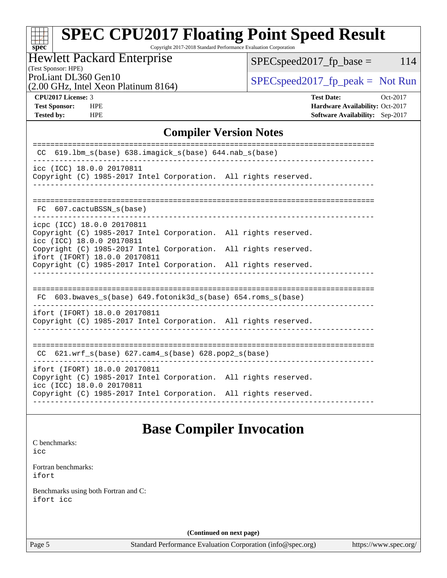#### **[spec](http://www.spec.org/) [SPEC CPU2017 Floating Point Speed Result](http://www.spec.org/auto/cpu2017/Docs/result-fields.html#SPECCPU2017FloatingPointSpeedResult)** Copyright 2017-2018 Standard Performance Evaluation Corporation

# Hewlett Packard Enterprise

 $SPEC speed2017_fp\_base = 114$ 

# (Test Sponsor: HPE)

(2.00 GHz, Intel Xeon Platinum 8164)

ProLiant DL360 Gen10<br>  $\begin{array}{r} \text{SPEC speed2017\_fp\_peak = Not Run} \\ \text{SPEC speed2017\_fp\_peak = Not Run} \end{array}$ 

**[Tested by:](http://www.spec.org/auto/cpu2017/Docs/result-fields.html#Testedby)** HPE **[Software Availability:](http://www.spec.org/auto/cpu2017/Docs/result-fields.html#SoftwareAvailability)** Sep-2017

**[CPU2017 License:](http://www.spec.org/auto/cpu2017/Docs/result-fields.html#CPU2017License)** 3 **[Test Date:](http://www.spec.org/auto/cpu2017/Docs/result-fields.html#TestDate)** Oct-2017 **[Test Sponsor:](http://www.spec.org/auto/cpu2017/Docs/result-fields.html#TestSponsor)** HPE **[Hardware Availability:](http://www.spec.org/auto/cpu2017/Docs/result-fields.html#HardwareAvailability)** Oct-2017

# **[Compiler Version Notes](http://www.spec.org/auto/cpu2017/Docs/result-fields.html#CompilerVersionNotes)**

| 619.1bm s(base) 638.imagick s(base) 644.nab s(base)<br><sub>CC</sub>                                                                                                |  |  |  |  |  |  |
|---------------------------------------------------------------------------------------------------------------------------------------------------------------------|--|--|--|--|--|--|
| icc (ICC) 18.0.0 20170811<br>Copyright (C) 1985-2017 Intel Corporation. All rights reserved.                                                                        |  |  |  |  |  |  |
| 607.cactuBSSN s(base)<br>FC                                                                                                                                         |  |  |  |  |  |  |
| icpc (ICC) 18.0.0 20170811<br>Copyright (C) 1985-2017 Intel Corporation. All rights reserved.<br>icc (ICC) 18.0.0 20170811                                          |  |  |  |  |  |  |
| Copyright (C) 1985-2017 Intel Corporation. All rights reserved.<br>ifort (IFORT) 18.0.0 20170811<br>Copyright (C) 1985-2017 Intel Corporation. All rights reserved. |  |  |  |  |  |  |
| FC 603.bwaves_s(base) 649.fotonik3d_s(base) 654.roms_s(base)                                                                                                        |  |  |  |  |  |  |
| ifort (IFORT) 18.0.0 20170811<br>Copyright (C) 1985-2017 Intel Corporation. All rights reserved.                                                                    |  |  |  |  |  |  |
| --------------------------<br>CC $621.$ wrf $s(base)$ 627.cam4 $s(base)$ 628.pop2 $s(base)$                                                                         |  |  |  |  |  |  |
| ifort (IFORT) 18.0.0 20170811<br>Copyright (C) 1985-2017 Intel Corporation. All rights reserved.<br>icc (ICC) 18.0.0 20170811                                       |  |  |  |  |  |  |
| Copyright (C) 1985-2017 Intel Corporation. All rights reserved.                                                                                                     |  |  |  |  |  |  |

# **[Base Compiler Invocation](http://www.spec.org/auto/cpu2017/Docs/result-fields.html#BaseCompilerInvocation)**

[C benchmarks](http://www.spec.org/auto/cpu2017/Docs/result-fields.html#Cbenchmarks): [icc](http://www.spec.org/cpu2017/results/res2017q4/cpu2017-20171114-00840.flags.html#user_CCbase_intel_icc_18.0_66fc1ee009f7361af1fbd72ca7dcefbb700085f36577c54f309893dd4ec40d12360134090235512931783d35fd58c0460139e722d5067c5574d8eaf2b3e37e92)

[Fortran benchmarks](http://www.spec.org/auto/cpu2017/Docs/result-fields.html#Fortranbenchmarks): [ifort](http://www.spec.org/cpu2017/results/res2017q4/cpu2017-20171114-00840.flags.html#user_FCbase_intel_ifort_18.0_8111460550e3ca792625aed983ce982f94888b8b503583aa7ba2b8303487b4d8a21a13e7191a45c5fd58ff318f48f9492884d4413fa793fd88dd292cad7027ca)

[Benchmarks using both Fortran and C](http://www.spec.org/auto/cpu2017/Docs/result-fields.html#BenchmarksusingbothFortranandC): [ifort](http://www.spec.org/cpu2017/results/res2017q4/cpu2017-20171114-00840.flags.html#user_CC_FCbase_intel_ifort_18.0_8111460550e3ca792625aed983ce982f94888b8b503583aa7ba2b8303487b4d8a21a13e7191a45c5fd58ff318f48f9492884d4413fa793fd88dd292cad7027ca) [icc](http://www.spec.org/cpu2017/results/res2017q4/cpu2017-20171114-00840.flags.html#user_CC_FCbase_intel_icc_18.0_66fc1ee009f7361af1fbd72ca7dcefbb700085f36577c54f309893dd4ec40d12360134090235512931783d35fd58c0460139e722d5067c5574d8eaf2b3e37e92)

**(Continued on next page)**

Page 5 Standard Performance Evaluation Corporation [\(info@spec.org\)](mailto:info@spec.org) <https://www.spec.org/>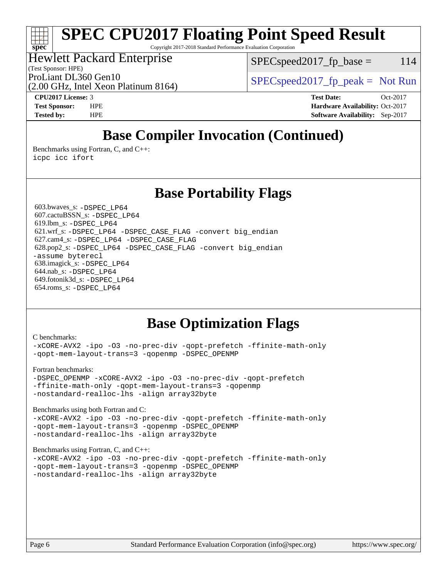# **[SPEC CPU2017 Floating Point Speed Result](http://www.spec.org/auto/cpu2017/Docs/result-fields.html#SPECCPU2017FloatingPointSpeedResult)**

Copyright 2017-2018 Standard Performance Evaluation Corporation

Hewlett Packard Enterprise

(Test Sponsor: HPE)

 $SPEC speed2017<sub>fr</sub> base = 114$ 

(2.00 GHz, Intel Xeon Platinum 8164)

ProLiant DL360 Gen10  $SPEC speed2017$  [p\_peak = Not Run

**[spec](http://www.spec.org/)**

**[CPU2017 License:](http://www.spec.org/auto/cpu2017/Docs/result-fields.html#CPU2017License)** 3 **[Test Date:](http://www.spec.org/auto/cpu2017/Docs/result-fields.html#TestDate)** Oct-2017 **[Test Sponsor:](http://www.spec.org/auto/cpu2017/Docs/result-fields.html#TestSponsor)** HPE **[Hardware Availability:](http://www.spec.org/auto/cpu2017/Docs/result-fields.html#HardwareAvailability)** Oct-2017 **[Tested by:](http://www.spec.org/auto/cpu2017/Docs/result-fields.html#Testedby)** HPE **[Software Availability:](http://www.spec.org/auto/cpu2017/Docs/result-fields.html#SoftwareAvailability)** Sep-2017

# **[Base Compiler Invocation \(Continued\)](http://www.spec.org/auto/cpu2017/Docs/result-fields.html#BaseCompilerInvocation)**

[Benchmarks using Fortran, C, and C++:](http://www.spec.org/auto/cpu2017/Docs/result-fields.html#BenchmarksusingFortranCandCXX) [icpc](http://www.spec.org/cpu2017/results/res2017q4/cpu2017-20171114-00840.flags.html#user_CC_CXX_FCbase_intel_icpc_18.0_c510b6838c7f56d33e37e94d029a35b4a7bccf4766a728ee175e80a419847e808290a9b78be685c44ab727ea267ec2f070ec5dc83b407c0218cded6866a35d07) [icc](http://www.spec.org/cpu2017/results/res2017q4/cpu2017-20171114-00840.flags.html#user_CC_CXX_FCbase_intel_icc_18.0_66fc1ee009f7361af1fbd72ca7dcefbb700085f36577c54f309893dd4ec40d12360134090235512931783d35fd58c0460139e722d5067c5574d8eaf2b3e37e92) [ifort](http://www.spec.org/cpu2017/results/res2017q4/cpu2017-20171114-00840.flags.html#user_CC_CXX_FCbase_intel_ifort_18.0_8111460550e3ca792625aed983ce982f94888b8b503583aa7ba2b8303487b4d8a21a13e7191a45c5fd58ff318f48f9492884d4413fa793fd88dd292cad7027ca)

# **[Base Portability Flags](http://www.spec.org/auto/cpu2017/Docs/result-fields.html#BasePortabilityFlags)**

 603.bwaves\_s: [-DSPEC\\_LP64](http://www.spec.org/cpu2017/results/res2017q4/cpu2017-20171114-00840.flags.html#suite_basePORTABILITY603_bwaves_s_DSPEC_LP64) 607.cactuBSSN\_s: [-DSPEC\\_LP64](http://www.spec.org/cpu2017/results/res2017q4/cpu2017-20171114-00840.flags.html#suite_basePORTABILITY607_cactuBSSN_s_DSPEC_LP64) 619.lbm\_s: [-DSPEC\\_LP64](http://www.spec.org/cpu2017/results/res2017q4/cpu2017-20171114-00840.flags.html#suite_basePORTABILITY619_lbm_s_DSPEC_LP64) 621.wrf\_s: [-DSPEC\\_LP64](http://www.spec.org/cpu2017/results/res2017q4/cpu2017-20171114-00840.flags.html#suite_basePORTABILITY621_wrf_s_DSPEC_LP64) [-DSPEC\\_CASE\\_FLAG](http://www.spec.org/cpu2017/results/res2017q4/cpu2017-20171114-00840.flags.html#b621.wrf_s_baseCPORTABILITY_DSPEC_CASE_FLAG) [-convert big\\_endian](http://www.spec.org/cpu2017/results/res2017q4/cpu2017-20171114-00840.flags.html#user_baseFPORTABILITY621_wrf_s_convert_big_endian_c3194028bc08c63ac5d04de18c48ce6d347e4e562e8892b8bdbdc0214820426deb8554edfa529a3fb25a586e65a3d812c835984020483e7e73212c4d31a38223) 627.cam4\_s: [-DSPEC\\_LP64](http://www.spec.org/cpu2017/results/res2017q4/cpu2017-20171114-00840.flags.html#suite_basePORTABILITY627_cam4_s_DSPEC_LP64) [-DSPEC\\_CASE\\_FLAG](http://www.spec.org/cpu2017/results/res2017q4/cpu2017-20171114-00840.flags.html#b627.cam4_s_baseCPORTABILITY_DSPEC_CASE_FLAG) 628.pop2\_s: [-DSPEC\\_LP64](http://www.spec.org/cpu2017/results/res2017q4/cpu2017-20171114-00840.flags.html#suite_basePORTABILITY628_pop2_s_DSPEC_LP64) [-DSPEC\\_CASE\\_FLAG](http://www.spec.org/cpu2017/results/res2017q4/cpu2017-20171114-00840.flags.html#b628.pop2_s_baseCPORTABILITY_DSPEC_CASE_FLAG) [-convert big\\_endian](http://www.spec.org/cpu2017/results/res2017q4/cpu2017-20171114-00840.flags.html#user_baseFPORTABILITY628_pop2_s_convert_big_endian_c3194028bc08c63ac5d04de18c48ce6d347e4e562e8892b8bdbdc0214820426deb8554edfa529a3fb25a586e65a3d812c835984020483e7e73212c4d31a38223) [-assume byterecl](http://www.spec.org/cpu2017/results/res2017q4/cpu2017-20171114-00840.flags.html#user_baseFPORTABILITY628_pop2_s_assume_byterecl_7e47d18b9513cf18525430bbf0f2177aa9bf368bc7a059c09b2c06a34b53bd3447c950d3f8d6c70e3faf3a05c8557d66a5798b567902e8849adc142926523472) 638.imagick\_s: [-DSPEC\\_LP64](http://www.spec.org/cpu2017/results/res2017q4/cpu2017-20171114-00840.flags.html#suite_basePORTABILITY638_imagick_s_DSPEC_LP64) 644.nab\_s: [-DSPEC\\_LP64](http://www.spec.org/cpu2017/results/res2017q4/cpu2017-20171114-00840.flags.html#suite_basePORTABILITY644_nab_s_DSPEC_LP64) 649.fotonik3d\_s: [-DSPEC\\_LP64](http://www.spec.org/cpu2017/results/res2017q4/cpu2017-20171114-00840.flags.html#suite_basePORTABILITY649_fotonik3d_s_DSPEC_LP64) 654.roms\_s: [-DSPEC\\_LP64](http://www.spec.org/cpu2017/results/res2017q4/cpu2017-20171114-00840.flags.html#suite_basePORTABILITY654_roms_s_DSPEC_LP64)

# **[Base Optimization Flags](http://www.spec.org/auto/cpu2017/Docs/result-fields.html#BaseOptimizationFlags)**

#### [C benchmarks](http://www.spec.org/auto/cpu2017/Docs/result-fields.html#Cbenchmarks):

[-xCORE-AVX2](http://www.spec.org/cpu2017/results/res2017q4/cpu2017-20171114-00840.flags.html#user_CCbase_f-xCORE-AVX2) [-ipo](http://www.spec.org/cpu2017/results/res2017q4/cpu2017-20171114-00840.flags.html#user_CCbase_f-ipo) [-O3](http://www.spec.org/cpu2017/results/res2017q4/cpu2017-20171114-00840.flags.html#user_CCbase_f-O3) [-no-prec-div](http://www.spec.org/cpu2017/results/res2017q4/cpu2017-20171114-00840.flags.html#user_CCbase_f-no-prec-div) [-qopt-prefetch](http://www.spec.org/cpu2017/results/res2017q4/cpu2017-20171114-00840.flags.html#user_CCbase_f-qopt-prefetch) [-ffinite-math-only](http://www.spec.org/cpu2017/results/res2017q4/cpu2017-20171114-00840.flags.html#user_CCbase_f_finite_math_only_cb91587bd2077682c4b38af759c288ed7c732db004271a9512da14a4f8007909a5f1427ecbf1a0fb78ff2a814402c6114ac565ca162485bbcae155b5e4258871) [-qopt-mem-layout-trans=3](http://www.spec.org/cpu2017/results/res2017q4/cpu2017-20171114-00840.flags.html#user_CCbase_f-qopt-mem-layout-trans_de80db37974c74b1f0e20d883f0b675c88c3b01e9d123adea9b28688d64333345fb62bc4a798493513fdb68f60282f9a726aa07f478b2f7113531aecce732043) [-qopenmp](http://www.spec.org/cpu2017/results/res2017q4/cpu2017-20171114-00840.flags.html#user_CCbase_qopenmp_16be0c44f24f464004c6784a7acb94aca937f053568ce72f94b139a11c7c168634a55f6653758ddd83bcf7b8463e8028bb0b48b77bcddc6b78d5d95bb1df2967) [-DSPEC\\_OPENMP](http://www.spec.org/cpu2017/results/res2017q4/cpu2017-20171114-00840.flags.html#suite_CCbase_DSPEC_OPENMP)

[Fortran benchmarks](http://www.spec.org/auto/cpu2017/Docs/result-fields.html#Fortranbenchmarks):

[-DSPEC\\_OPENMP](http://www.spec.org/cpu2017/results/res2017q4/cpu2017-20171114-00840.flags.html#suite_FCbase_DSPEC_OPENMP) [-xCORE-AVX2](http://www.spec.org/cpu2017/results/res2017q4/cpu2017-20171114-00840.flags.html#user_FCbase_f-xCORE-AVX2) [-ipo](http://www.spec.org/cpu2017/results/res2017q4/cpu2017-20171114-00840.flags.html#user_FCbase_f-ipo) [-O3](http://www.spec.org/cpu2017/results/res2017q4/cpu2017-20171114-00840.flags.html#user_FCbase_f-O3) [-no-prec-div](http://www.spec.org/cpu2017/results/res2017q4/cpu2017-20171114-00840.flags.html#user_FCbase_f-no-prec-div) [-qopt-prefetch](http://www.spec.org/cpu2017/results/res2017q4/cpu2017-20171114-00840.flags.html#user_FCbase_f-qopt-prefetch) [-ffinite-math-only](http://www.spec.org/cpu2017/results/res2017q4/cpu2017-20171114-00840.flags.html#user_FCbase_f_finite_math_only_cb91587bd2077682c4b38af759c288ed7c732db004271a9512da14a4f8007909a5f1427ecbf1a0fb78ff2a814402c6114ac565ca162485bbcae155b5e4258871) [-qopt-mem-layout-trans=3](http://www.spec.org/cpu2017/results/res2017q4/cpu2017-20171114-00840.flags.html#user_FCbase_f-qopt-mem-layout-trans_de80db37974c74b1f0e20d883f0b675c88c3b01e9d123adea9b28688d64333345fb62bc4a798493513fdb68f60282f9a726aa07f478b2f7113531aecce732043) [-qopenmp](http://www.spec.org/cpu2017/results/res2017q4/cpu2017-20171114-00840.flags.html#user_FCbase_qopenmp_16be0c44f24f464004c6784a7acb94aca937f053568ce72f94b139a11c7c168634a55f6653758ddd83bcf7b8463e8028bb0b48b77bcddc6b78d5d95bb1df2967) [-nostandard-realloc-lhs](http://www.spec.org/cpu2017/results/res2017q4/cpu2017-20171114-00840.flags.html#user_FCbase_f_2003_std_realloc_82b4557e90729c0f113870c07e44d33d6f5a304b4f63d4c15d2d0f1fab99f5daaed73bdb9275d9ae411527f28b936061aa8b9c8f2d63842963b95c9dd6426b8a) [-align array32byte](http://www.spec.org/cpu2017/results/res2017q4/cpu2017-20171114-00840.flags.html#user_FCbase_align_array32byte_b982fe038af199962ba9a80c053b8342c548c85b40b8e86eb3cc33dee0d7986a4af373ac2d51c3f7cf710a18d62fdce2948f201cd044323541f22fc0fffc51b6)

[Benchmarks using both Fortran and C](http://www.spec.org/auto/cpu2017/Docs/result-fields.html#BenchmarksusingbothFortranandC): [-xCORE-AVX2](http://www.spec.org/cpu2017/results/res2017q4/cpu2017-20171114-00840.flags.html#user_CC_FCbase_f-xCORE-AVX2) [-ipo](http://www.spec.org/cpu2017/results/res2017q4/cpu2017-20171114-00840.flags.html#user_CC_FCbase_f-ipo) [-O3](http://www.spec.org/cpu2017/results/res2017q4/cpu2017-20171114-00840.flags.html#user_CC_FCbase_f-O3) [-no-prec-div](http://www.spec.org/cpu2017/results/res2017q4/cpu2017-20171114-00840.flags.html#user_CC_FCbase_f-no-prec-div) [-qopt-prefetch](http://www.spec.org/cpu2017/results/res2017q4/cpu2017-20171114-00840.flags.html#user_CC_FCbase_f-qopt-prefetch) [-ffinite-math-only](http://www.spec.org/cpu2017/results/res2017q4/cpu2017-20171114-00840.flags.html#user_CC_FCbase_f_finite_math_only_cb91587bd2077682c4b38af759c288ed7c732db004271a9512da14a4f8007909a5f1427ecbf1a0fb78ff2a814402c6114ac565ca162485bbcae155b5e4258871) [-qopt-mem-layout-trans=3](http://www.spec.org/cpu2017/results/res2017q4/cpu2017-20171114-00840.flags.html#user_CC_FCbase_f-qopt-mem-layout-trans_de80db37974c74b1f0e20d883f0b675c88c3b01e9d123adea9b28688d64333345fb62bc4a798493513fdb68f60282f9a726aa07f478b2f7113531aecce732043) [-qopenmp](http://www.spec.org/cpu2017/results/res2017q4/cpu2017-20171114-00840.flags.html#user_CC_FCbase_qopenmp_16be0c44f24f464004c6784a7acb94aca937f053568ce72f94b139a11c7c168634a55f6653758ddd83bcf7b8463e8028bb0b48b77bcddc6b78d5d95bb1df2967) [-DSPEC\\_OPENMP](http://www.spec.org/cpu2017/results/res2017q4/cpu2017-20171114-00840.flags.html#suite_CC_FCbase_DSPEC_OPENMP) [-nostandard-realloc-lhs](http://www.spec.org/cpu2017/results/res2017q4/cpu2017-20171114-00840.flags.html#user_CC_FCbase_f_2003_std_realloc_82b4557e90729c0f113870c07e44d33d6f5a304b4f63d4c15d2d0f1fab99f5daaed73bdb9275d9ae411527f28b936061aa8b9c8f2d63842963b95c9dd6426b8a) [-align array32byte](http://www.spec.org/cpu2017/results/res2017q4/cpu2017-20171114-00840.flags.html#user_CC_FCbase_align_array32byte_b982fe038af199962ba9a80c053b8342c548c85b40b8e86eb3cc33dee0d7986a4af373ac2d51c3f7cf710a18d62fdce2948f201cd044323541f22fc0fffc51b6)

[Benchmarks using Fortran, C, and C++:](http://www.spec.org/auto/cpu2017/Docs/result-fields.html#BenchmarksusingFortranCandCXX)

```
-xCORE-AVX2 -ipo -O3 -no-prec-div -qopt-prefetch -ffinite-math-only
-qopt-mem-layout-trans=3 -qopenmp -DSPEC_OPENMP
-nostandard-realloc-lhs -align array32byte
```